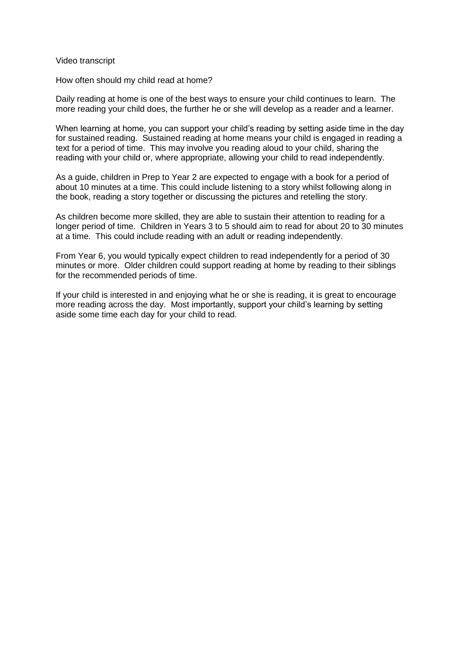Video transcript

How often should my child read at home?

Daily reading at home is one of the best ways to ensure your child continues to learn. The more reading your child does, the further he or she will develop as a reader and a learner.

When learning at home, you can support your child's reading by setting aside time in the day for sustained reading. Sustained reading at home means your child is engaged in reading a text for a period of time. This may involve you reading aloud to your child, sharing the reading with your child or, where appropriate, allowing your child to read independently.

As a guide, children in Prep to Year 2 are expected to engage with a book for a period of about 10 minutes at a time. This could include listening to a story whilst following along in the book, reading a story together or discussing the pictures and retelling the story.

As children become more skilled, they are able to sustain their attention to reading for a longer period of time. Children in Years 3 to 5 should aim to read for about 20 to 30 minutes at a time. This could include reading with an adult or reading independently.

From Year 6, you would typically expect children to read independently for a period of 30 minutes or more. Older children could support reading at home by reading to their siblings for the recommended periods of time.

If your child is interested in and enjoying what he or she is reading, it is great to encourage more reading across the day. Most importantly, support your child's learning by setting aside some time each day for your child to read.